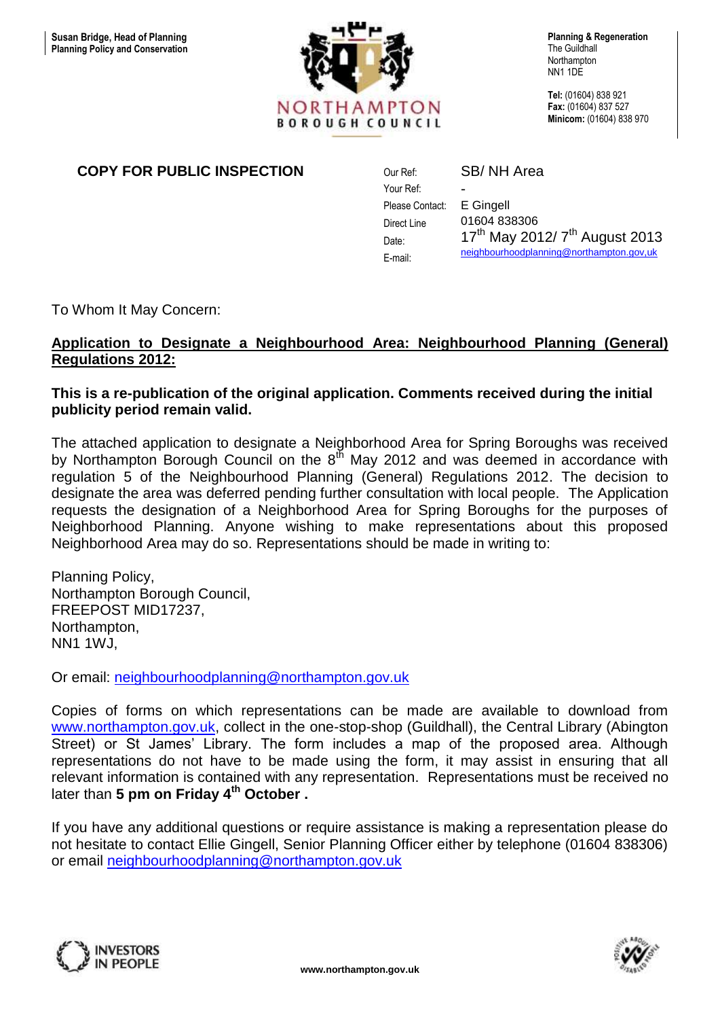

The Guildhall **Northampton** NN1 1DE

**Tel:** (01604) 838 921 **Fax:** (01604) 837 527 **Minicom:** (01604) 838 970

# **COPY FOR PUBLIC INSPECTION** Our Ref:

Your Ref: Please Contact: Direct Line Date: E-mail: SB/ NH Area - E Gingell 01604 838306  $17^{th}$  May 2012/  $7^{th}$  August 2013 [neighbourhoodplanning@northampton.gov,uk](mailto:neighbourhoodplanning@northampton.gov,uk)

To Whom It May Concern:

## **Application to Designate a Neighbourhood Area: Neighbourhood Planning (General) Regulations 2012:**

## **This is a re-publication of the original application. Comments received during the initial publicity period remain valid.**

The attached application to designate a Neighborhood Area for Spring Boroughs was received by Northampton Borough Council on the 8<sup>th</sup> May 2012 and was deemed in accordance with regulation 5 of the Neighbourhood Planning (General) Regulations 2012. The decision to designate the area was deferred pending further consultation with local people. The Application requests the designation of a Neighborhood Area for Spring Boroughs for the purposes of Neighborhood Planning. Anyone wishing to make representations about this proposed Neighborhood Area may do so. Representations should be made in writing to:

Planning Policy, Northampton Borough Council, FREEPOST MID17237, Northampton, NN1 1WJ,

Or email: [neighbourhoodplanning@northampton.gov.uk](mailto:neighbourhoodplanning@northampton.gov.uk)

Copies of forms on which representations can be made are available to download from [www.northampton.gov.uk,](http://www.northampton.gov.uk/) collect in the one-stop-shop (Guildhall), the Central Library (Abington Street) or St James' Library. The form includes a map of the proposed area. Although representations do not have to be made using the form, it may assist in ensuring that all relevant information is contained with any representation. Representations must be received no later than **5 pm on Friday 4<sup>th</sup> October .** 

If you have any additional questions or require assistance is making a representation please do not hesitate to contact Ellie Gingell, Senior Planning Officer either by telephone (01604 838306) or email [neighbourhoodplanning@northampton.gov.uk](mailto:neighbourhoodplanning@northampton.gov.uk)



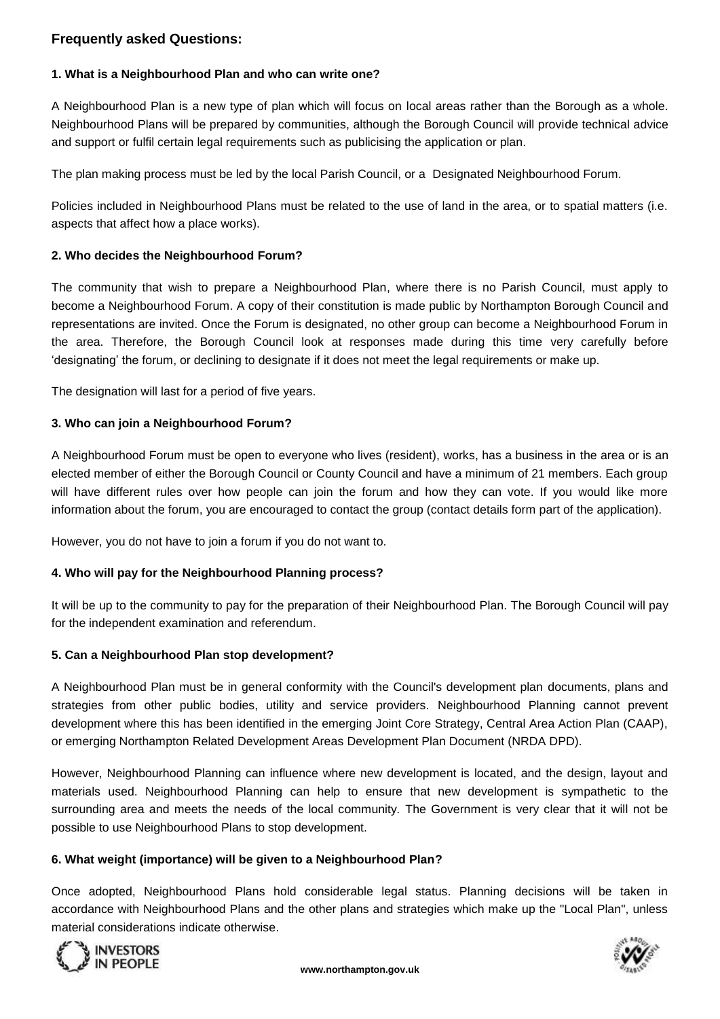### **Frequently asked Questions:**

## **1. What is a Neighbourhood Plan and who can write one?**

A Neighbourhood Plan is a new type of plan which will focus on local areas rather than the Borough as a whole. Neighbourhood Plans will be prepared by communities, although the Borough Council will provide technical advice and support or fulfil certain legal requirements such as publicising the application or plan.

The plan making process must be led by the local Parish Council, or a Designated Neighbourhood Forum.

Policies included in Neighbourhood Plans must be related to the use of land in the area, or to spatial matters (i.e. aspects that affect how a place works).

### **2. Who decides the Neighbourhood Forum?**

The community that wish to prepare a Neighbourhood Plan, where there is no Parish Council, must apply to become a Neighbourhood Forum. A copy of their constitution is made public by Northampton Borough Council and representations are invited. Once the Forum is designated, no other group can become a Neighbourhood Forum in the area. Therefore, the Borough Council look at responses made during this time very carefully before 'designating' the forum, or declining to designate if it does not meet the legal requirements or make up.

The designation will last for a period of five years.

### **3. Who can join a Neighbourhood Forum?**

A Neighbourhood Forum must be open to everyone who lives (resident), works, has a business in the area or is an elected member of either the Borough Council or County Council and have a minimum of 21 members. Each group will have different rules over how people can join the forum and how they can vote. If you would like more information about the forum, you are encouraged to contact the group (contact details form part of the application).

However, you do not have to join a forum if you do not want to.

### **4. Who will pay for the Neighbourhood Planning process?**

It will be up to the community to pay for the preparation of their Neighbourhood Plan. The Borough Council will pay for the independent examination and referendum.

### **5. Can a Neighbourhood Plan stop development?**

A Neighbourhood Plan must be in general conformity with the Council's development plan documents, plans and strategies from other public bodies, utility and service providers. Neighbourhood Planning cannot prevent development where this has been identified in the emerging Joint Core Strategy, Central Area Action Plan (CAAP), or emerging Northampton Related Development Areas Development Plan Document (NRDA DPD).

However, Neighbourhood Planning can influence where new development is located, and the design, layout and materials used. Neighbourhood Planning can help to ensure that new development is sympathetic to the surrounding area and meets the needs of the local community. The Government is very clear that it will not be possible to use Neighbourhood Plans to stop development.

### **6. What weight (importance) will be given to a Neighbourhood Plan?**

Once adopted, Neighbourhood Plans hold considerable legal status. Planning decisions will be taken in accordance with Neighbourhood Plans and the other plans and strategies which make up the "Local Plan", unless material considerations indicate otherwise.



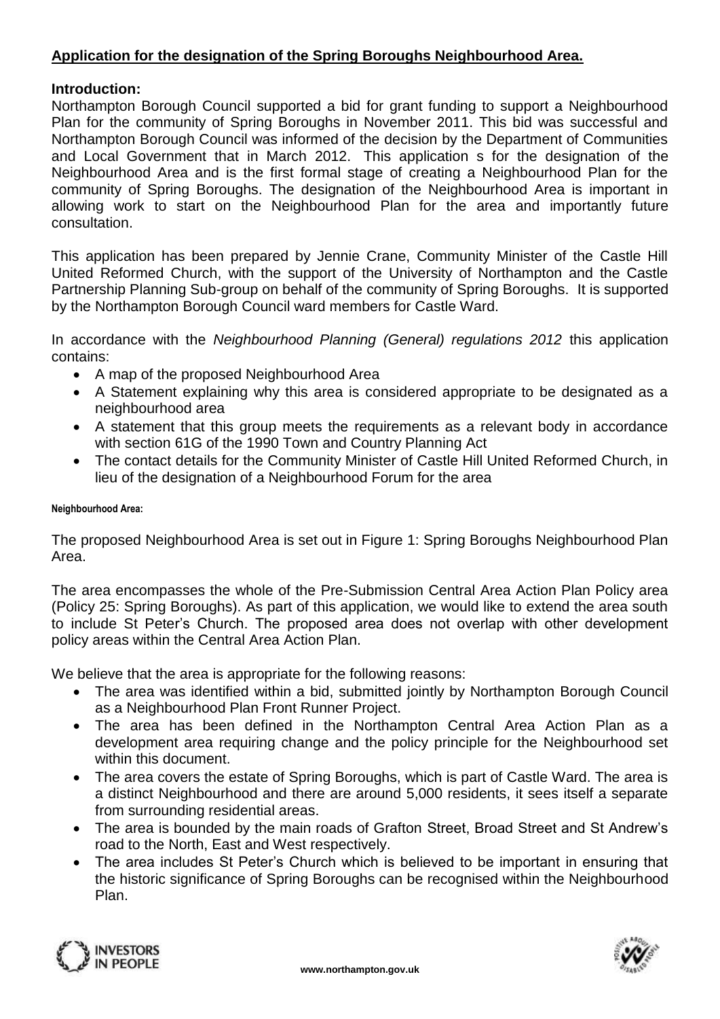# **Application for the designation of the Spring Boroughs Neighbourhood Area.**

## **Introduction:**

Northampton Borough Council supported a bid for grant funding to support a Neighbourhood Plan for the community of Spring Boroughs in November 2011. This bid was successful and Northampton Borough Council was informed of the decision by the Department of Communities and Local Government that in March 2012. This application s for the designation of the Neighbourhood Area and is the first formal stage of creating a Neighbourhood Plan for the community of Spring Boroughs. The designation of the Neighbourhood Area is important in allowing work to start on the Neighbourhood Plan for the area and importantly future consultation.

This application has been prepared by Jennie Crane, Community Minister of the Castle Hill United Reformed Church, with the support of the University of Northampton and the Castle Partnership Planning Sub-group on behalf of the community of Spring Boroughs. It is supported by the Northampton Borough Council ward members for Castle Ward.

In accordance with the *Neighbourhood Planning (General) regulations 2012* this application contains:

- A map of the proposed Neighbourhood Area
- A Statement explaining why this area is considered appropriate to be designated as a neighbourhood area
- A statement that this group meets the requirements as a relevant body in accordance with section 61G of the 1990 Town and Country Planning Act
- The contact details for the Community Minister of Castle Hill United Reformed Church, in lieu of the designation of a Neighbourhood Forum for the area

#### **Neighbourhood Area:**

The proposed Neighbourhood Area is set out in Figure 1: Spring Boroughs Neighbourhood Plan Area.

The area encompasses the whole of the Pre-Submission Central Area Action Plan Policy area (Policy 25: Spring Boroughs). As part of this application, we would like to extend the area south to include St Peter's Church. The proposed area does not overlap with other development policy areas within the Central Area Action Plan.

We believe that the area is appropriate for the following reasons:

- The area was identified within a bid, submitted jointly by Northampton Borough Council as a Neighbourhood Plan Front Runner Project.
- The area has been defined in the Northampton Central Area Action Plan as a development area requiring change and the policy principle for the Neighbourhood set within this document.
- The area covers the estate of Spring Boroughs, which is part of Castle Ward. The area is a distinct Neighbourhood and there are around 5,000 residents, it sees itself a separate from surrounding residential areas.
- The area is bounded by the main roads of Grafton Street, Broad Street and St Andrew's road to the North, East and West respectively.
- The area includes St Peter's Church which is believed to be important in ensuring that the historic significance of Spring Boroughs can be recognised within the Neighbourhood Plan.



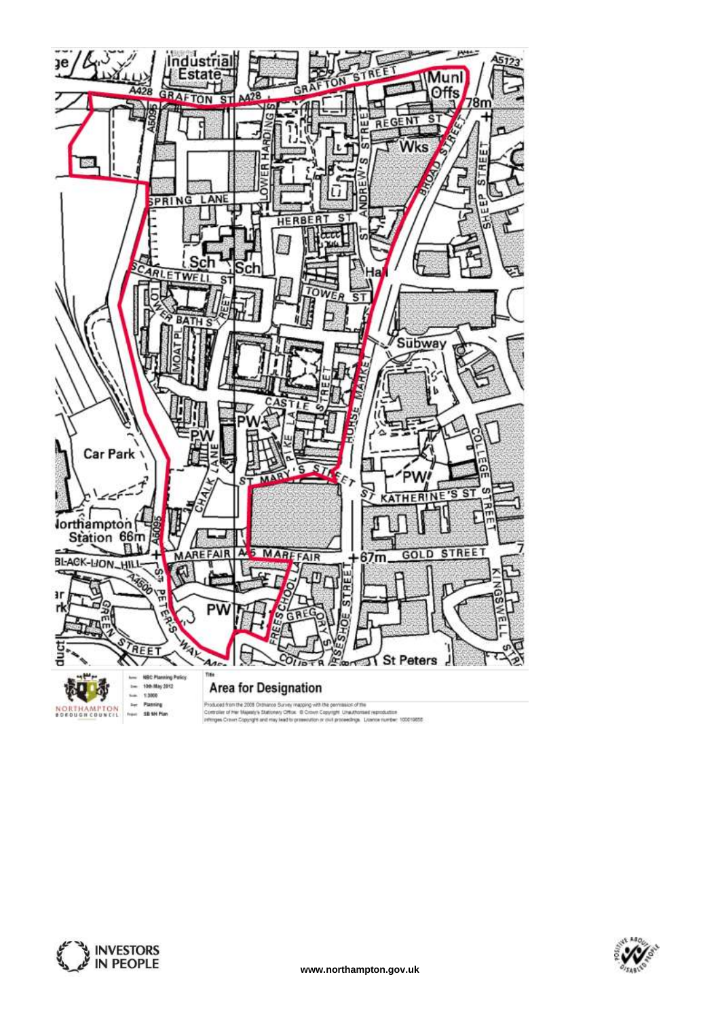